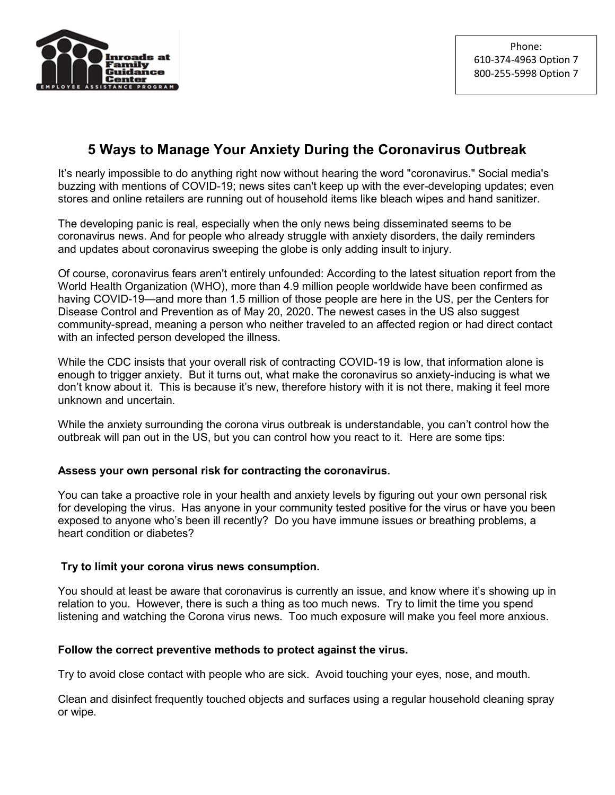

# 5 Ways to Manage Your Anxiety During the Coronavirus Outbreak

It's nearly impossible to do anything right now without hearing the word "coronavirus." Social media's buzzing with mentions of COVID-19; news sites can't keep up with the ever-developing updates; even stores and online retailers are running out of household items like bleach wipes and hand sanitizer.

The developing panic is real, especially when the only news being disseminated seems to be coronavirus news. And for people who already struggle with anxiety disorders, the daily reminders and updates about coronavirus sweeping the globe is only adding insult to injury.

Of course, coronavirus fears aren't entirely unfounded: According to the latest situation report from the World Health Organization (WHO), more than 4.9 million people worldwide have been confirmed as having COVID-19—and more than 1.5 million of those people are here in the US, per the Centers for Disease Control and Prevention as of May 20, 2020. The newest cases in the US also suggest community-spread, meaning a person who neither traveled to an affected region or had direct contact with an infected person developed the illness.

While the CDC insists that your overall risk of contracting COVID-19 is low, that information alone is enough to trigger anxiety. But it turns out, what make the coronavirus so anxiety-inducing is what we don't know about it. This is because it's new, therefore history with it is not there, making it feel more unknown and uncertain.

While the anxiety surrounding the corona virus outbreak is understandable, you can't control how the outbreak will pan out in the US, but you can control how you react to it. Here are some tips:

### Assess your own personal risk for contracting the coronavirus.

You can take a proactive role in your health and anxiety levels by figuring out your own personal risk for developing the virus. Has anyone in your community tested positive for the virus or have you been exposed to anyone who's been ill recently? Do you have immune issues or breathing problems, a heart condition or diabetes?

### Try to limit your corona virus news consumption.

You should at least be aware that coronavirus is currently an issue, and know where it's showing up in relation to you. However, there is such a thing as too much news. Try to limit the time you spend listening and watching the Corona virus news. Too much exposure will make you feel more anxious.

### Follow the correct preventive methods to protect against the virus.

Try to avoid close contact with people who are sick. Avoid touching your eyes, nose, and mouth.

Clean and disinfect frequently touched objects and surfaces using a regular household cleaning spray or wipe.